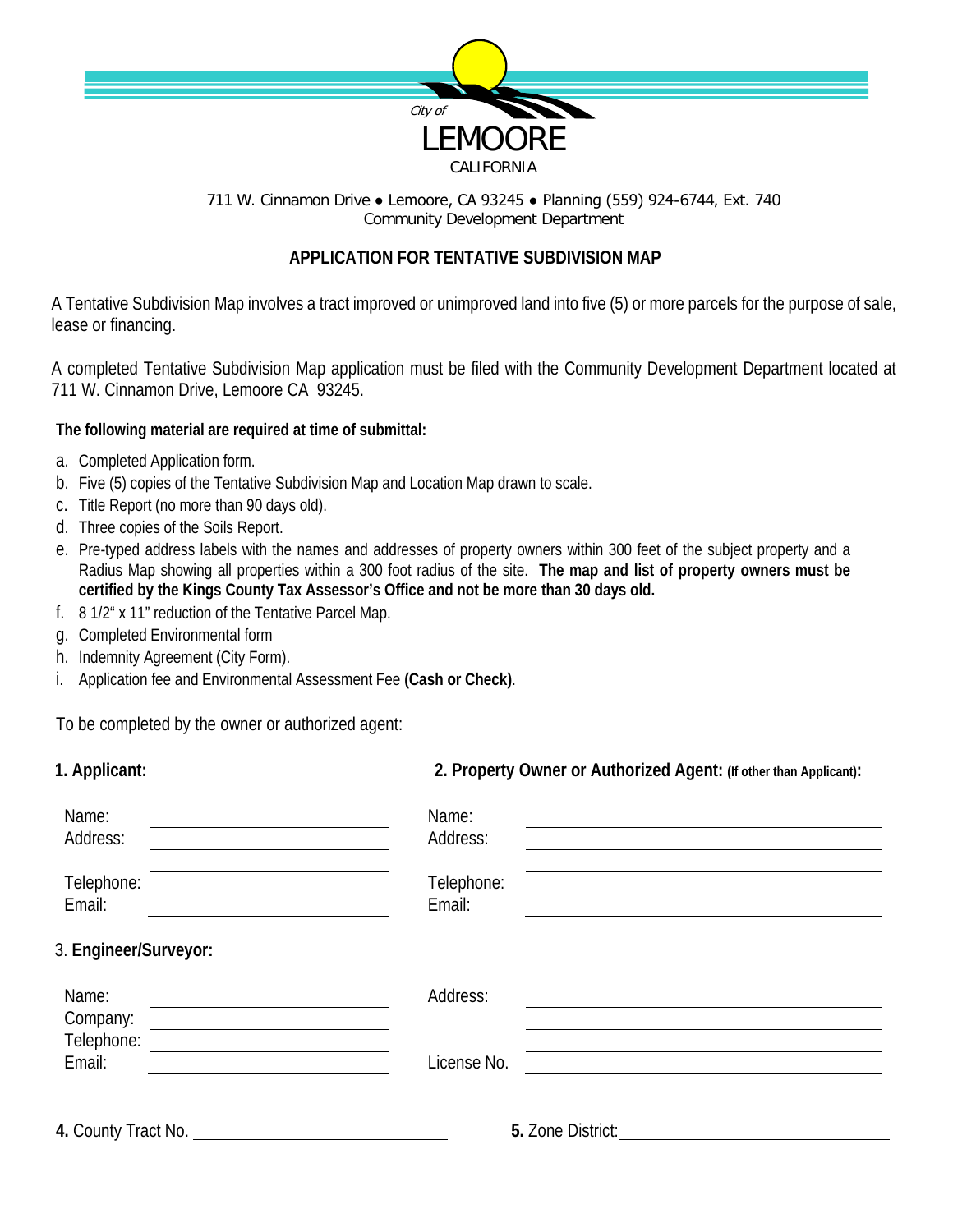

711 W. Cinnamon Drive ● Lemoore, CA 93245 ● Planning (559) 924-6744, Ext. 740 Community Development Department

## **APPLICATION FOR TENTATIVE SUBDIVISION MAP**

A Tentative Subdivision Map involves a tract improved or unimproved land into five (5) or more parcels for the purpose of sale, lease or financing.

A completed Tentative Subdivision Map application must be filed with the Community Development Department located at 711 W. Cinnamon Drive, Lemoore CA 93245.

## **The following material are required at time of submittal:**

- a. Completed Application form.
- b. Five (5) copies of the Tentative Subdivision Map and Location Map drawn to scale.
- c. Title Report (no more than 90 days old).
- d. Three copies of the Soils Report.
- e. Pre-typed address labels with the names and addresses of property owners within 300 feet of the subject property and a Radius Map showing all properties within a 300 foot radius of the site. **The map and list of property owners must be certified by the Kings County Tax Assessor's Office and not be more than 30 days old.**
- f. 8 1/2" x 11" reduction of the Tentative Parcel Map.
- g. Completed Environmental form
- h. Indemnity Agreement (City Form).
- i. Application fee and Environmental Assessment Fee **(Cash or Check)**.

## To be completed by the owner or authorized agent:

| 1. Applicant:                                                                                                                             | 2. Property Owner or Authorized Agent: (If other than Applicant): |  |
|-------------------------------------------------------------------------------------------------------------------------------------------|-------------------------------------------------------------------|--|
| Name:<br>Address:                                                                                                                         | Name:<br>Address:                                                 |  |
| Telephone:<br>Email:                                                                                                                      | Telephone:<br>Email:                                              |  |
| 3. Engineer/Surveyor:                                                                                                                     |                                                                   |  |
| Name:<br>Company:<br><u> 1980 - Jan Samuel Barbara, martin da shekara 1980 - An tsara 1980 - An tsara 1980 - An tsara 1980 - An tsara</u> | Address:                                                          |  |
| Telephone:<br>Email:                                                                                                                      | License No.                                                       |  |
|                                                                                                                                           | 5. Zone District:                                                 |  |
|                                                                                                                                           |                                                                   |  |